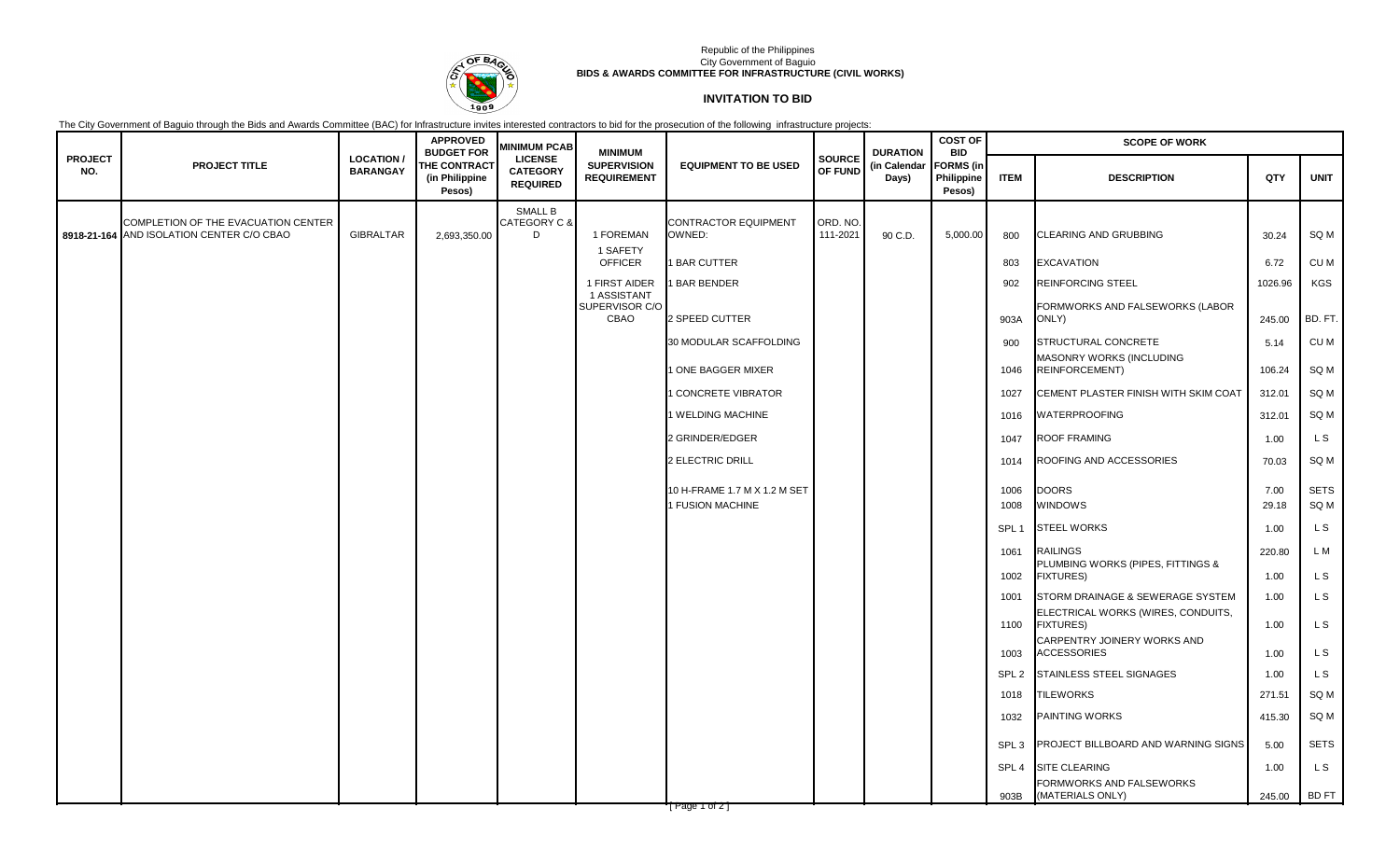

## Republic of the Philippines City Government of Baguio **BIDS & AWARDS COMMITTEE FOR INFRASTRUCTURE (CIVIL WORKS)**

## **INVITATION TO BID**

The City Government of Baguio through the Bids and Awards Committee (BAC) for Infrastructure invites interested contractors to bid for the prosecution of the following infrastructure projects:

|                       |                                                                                  |                                     | <b>APPROVED</b><br><b>BUDGET FOR</b>            | <b>MINIMUM PCAB</b>                                  | <b>MINIMUM</b>                           |                                                  |                          | <b>DURATION</b>       | <b>COST OF</b><br><b>BID</b>             | <b>SCOPE OF WORK</b> |                                                                        |               |              |
|-----------------------|----------------------------------------------------------------------------------|-------------------------------------|-------------------------------------------------|------------------------------------------------------|------------------------------------------|--------------------------------------------------|--------------------------|-----------------------|------------------------------------------|----------------------|------------------------------------------------------------------------|---------------|--------------|
| <b>PROJECT</b><br>NO. | <b>PROJECT TITLE</b>                                                             | <b>LOCATION/</b><br><b>BARANGAY</b> | <b>THE CONTRACT</b><br>(in Philippine<br>Pesos) | <b>LICENSE</b><br><b>CATEGORY</b><br><b>REQUIRED</b> | <b>SUPERVISION</b><br><b>REQUIREMENT</b> | <b>EQUIPMENT TO BE USED</b>                      | <b>SOURCE</b><br>OF FUND | (in Calendar<br>Days) | <b>FORMS</b> (in<br>Philippine<br>Pesos) | <b>ITEM</b>          | <b>DESCRIPTION</b>                                                     | QTY           | <b>UNIT</b>  |
|                       | COMPLETION OF THE EVACUATION CENTER<br>8918-21-164 AND ISOLATION CENTER C/O CBAO | <b>GIBRALTAR</b>                    | 2,693,350.00                                    | <b>SMALL B</b><br>CATEGORY C &<br>D                  | 1 FOREMAN<br>1 SAFETY                    | <b>CONTRACTOR EQUIPMENT</b><br>OWNED:            | ORD. NO.<br>111-2021     | 90 C.D.               | 5,000.00                                 | 800                  | CLEARING AND GRUBBING                                                  | 30.24         | SQ M         |
|                       |                                                                                  |                                     |                                                 |                                                      | <b>OFFICER</b>                           | <b>BAR CUTTER</b>                                |                          |                       |                                          | 803                  | <b>EXCAVATION</b>                                                      | 6.72          | CU M         |
|                       |                                                                                  |                                     |                                                 |                                                      | 1 FIRST AIDER                            | <b>BAR BENDER</b>                                |                          |                       |                                          | 902                  | <b>REINFORCING STEEL</b>                                               | 1026.96       | KGS          |
|                       |                                                                                  |                                     |                                                 |                                                      | 1 ASSISTANT<br>SUPERVISOR C/O<br>CBAO    | 2 SPEED CUTTER                                   |                          |                       |                                          | 903A                 | FORMWORKS AND FALSEWORKS (LABOR<br>ONLY)                               | 245.00        | BD. FT.      |
|                       |                                                                                  |                                     |                                                 |                                                      |                                          | 30 MODULAR SCAFFOLDING                           |                          |                       |                                          | 900                  | STRUCTURAL CONCRETE                                                    | 5.14          | CU M         |
|                       |                                                                                  |                                     |                                                 |                                                      |                                          | ONE BAGGER MIXER                                 |                          |                       |                                          | 1046                 | MASONRY WORKS (INCLUDING<br><b>REINFORCEMENT)</b>                      | 106.24        | SQ M         |
|                       |                                                                                  |                                     |                                                 |                                                      |                                          | <b>CONCRETE VIBRATOR</b>                         |                          |                       |                                          | 1027                 | CEMENT PLASTER FINISH WITH SKIM COAT                                   | 312.01        | SQ M         |
|                       |                                                                                  |                                     |                                                 |                                                      |                                          | I WELDING MACHINE                                |                          |                       |                                          | 1016                 | <b>WATERPROOFING</b>                                                   | 312.01        | SQ M         |
|                       |                                                                                  |                                     |                                                 |                                                      |                                          | 2 GRINDER/EDGER                                  |                          |                       |                                          | 1047                 | <b>ROOF FRAMING</b>                                                    | 1.00          | L S          |
|                       |                                                                                  |                                     |                                                 |                                                      |                                          | 2 ELECTRIC DRILL                                 |                          |                       |                                          | 1014                 | ROOFING AND ACCESSORIES                                                | 70.03         | SQ M         |
|                       |                                                                                  |                                     |                                                 |                                                      |                                          | 10 H-FRAME 1.7 M X 1.2 M SET<br>I FUSION MACHINE |                          |                       |                                          | 1006<br>1008         | <b>DOORS</b><br><b>WINDOWS</b>                                         | 7.00<br>29.18 | SETS<br>SQ M |
|                       |                                                                                  |                                     |                                                 |                                                      |                                          |                                                  |                          |                       |                                          | SPL <sub>1</sub>     | <b>STEEL WORKS</b>                                                     | 1.00          | L S          |
|                       |                                                                                  |                                     |                                                 |                                                      |                                          |                                                  |                          |                       |                                          | 1061                 | <b>RAILINGS</b><br>PLUMBING WORKS (PIPES, FITTINGS &                   | 220.80        | L M          |
|                       |                                                                                  |                                     |                                                 |                                                      |                                          |                                                  |                          |                       |                                          | 1002                 | <b>FIXTURES)</b>                                                       | 1.00          | L S          |
|                       |                                                                                  |                                     |                                                 |                                                      |                                          |                                                  |                          |                       |                                          | 1001                 | STORM DRAINAGE & SEWERAGE SYSTEM<br>ELECTRICAL WORKS (WIRES, CONDUITS, | 1.00          | L S          |
|                       |                                                                                  |                                     |                                                 |                                                      |                                          |                                                  |                          |                       |                                          | 1100                 | <b>FIXTURES)</b>                                                       | 1.00          | L S          |
|                       |                                                                                  |                                     |                                                 |                                                      |                                          |                                                  |                          |                       |                                          | 1003                 | CARPENTRY JOINERY WORKS AND<br><b>ACCESSORIES</b>                      | 1.00          | L S          |
|                       |                                                                                  |                                     |                                                 |                                                      |                                          |                                                  |                          |                       |                                          | SPL <sub>2</sub>     | STAINLESS STEEL SIGNAGES                                               | 1.00          | L S          |
|                       |                                                                                  |                                     |                                                 |                                                      |                                          |                                                  |                          |                       |                                          | 1018                 | <b>TILEWORKS</b>                                                       | 271.51        | SQ M         |
|                       |                                                                                  |                                     |                                                 |                                                      |                                          |                                                  |                          |                       |                                          | 1032                 | <b>PAINTING WORKS</b>                                                  | 415.30        | SQ M         |
|                       |                                                                                  |                                     |                                                 |                                                      |                                          |                                                  |                          |                       |                                          | SPL <sub>3</sub>     | PROJECT BILLBOARD AND WARNING SIGNS                                    | 5.00          | <b>SETS</b>  |
|                       |                                                                                  |                                     |                                                 |                                                      |                                          |                                                  |                          |                       |                                          | SPL <sub>4</sub>     | SITE CLEARING                                                          | 1.00          | L S          |
|                       |                                                                                  |                                     |                                                 |                                                      |                                          |                                                  |                          |                       |                                          | 903B                 | FORMWORKS AND FALSEWORKS<br>(MATERIALS ONLY)                           | 245.00        | BD FT        |